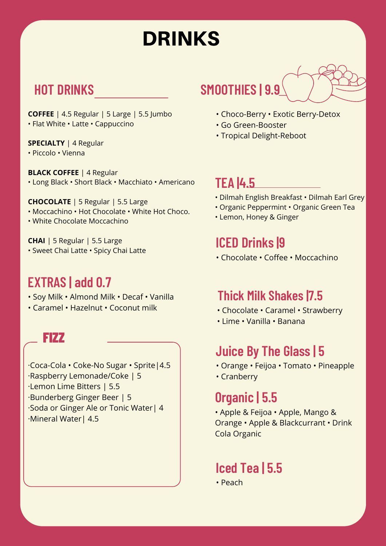# DRINKS

**COFFEE** | 4.5 Regular | 5 Large | 5.5 Jumbo • Flat White • Latte • Cappuccino

**SPECIALTY** | 4 Regular

• Piccolo • Vienna

**BLACK COFFEE** | 4 Regular • Long Black • Short Black • Macchiato • Americano

**CHOCOLATE** | 5 Regular | 5.5 Large • Moccachino • Hot Chocolate • White Hot Choco.

• White Chocolate Moccachino

**CHAI** | 5 Regular | 5.5 Large • Sweet Chai Latte • Spicy Chai Latte

### **EXTRAS | add 0.7**

- Soy Milk Almond Milk Decaf Vanilla
- Caramel Hazelnut Coconut milk

FIZZ

·Coca-Cola • Coke-No Sugar • Sprite|4.5 ·Raspberry Lemonade/Coke | 5 ·Lemon Lime Bitters | 5.5 ·Bunderberg Ginger Beer | 5 ·Soda or Ginger Ale or Tonic Water| 4 ·Mineral Water| 4.5

## **HOT DRINKS SMOOTHIES | 9.9**

- Choco-Berry Exotic Berry-Detox
- Go Green-Booster
- Tropical Delight-Reboot

**TEA |4.5**

- Dilmah English Breakfast Dilmah Earl Grey
- Organic Peppermint Organic Green Tea
- Lemon, Honey & Ginger

### **ICED Drinks |9**

• Chocolate • Coffee • Moccachino

### **Thick Milk Shakes |7.5**

- Chocolate Caramel Strawberry
- Lime Vanilla Banana

### **Juice By The Glass | 5**

- Orange Feijoa Tomato Pineapple
- Cranberry

### **Organic | 5.5**

• Apple & Feijoa • Apple, Mango & Orange • Apple & Blackcurrant • Drink Cola Organic

### **Iced Tea | 5.5**

• Peach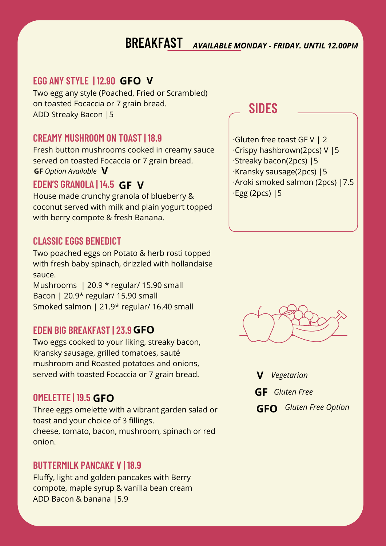### **BREAKFAST** *AVAILABLE MONDAY - FRIDAY. UNTIL 12.00PM*

#### **EGG ANY STYLE | 12.90 V GFO**

Two egg any style (Poached, Fried or Scrambled) on toasted Focaccia or 7 grain bread. ADD Streaky Bacon |5

#### **CREAMY MUSHROOM ON TOAST | 18.9**

Fresh button mushrooms cooked in creamy sauce served on toasted Focaccia or 7 grain bread. **GF** *Option Available* **V**

#### **EDEN'S GRANOLA | 14.5 GF V**

House made crunchy granola of blueberry & coconut served with milk and plain yogurt topped with berry compote & fresh Banana.

#### **CLASSIC EGGS BENEDICT**

Two poached eggs on Potato & herb rosti topped with fresh baby spinach, drizzled with hollandaise sauce.

Mushrooms | 20.9 \* regular/ 15.90 small Bacon | 20.9\* regular/ 15.90 small Smoked salmon | 21.9\* regular/ 16.40 small

#### **EDEN BIG BREAKFAST | 23.9 GFO**

Two eggs cooked to your liking, streaky bacon, Kransky sausage, grilled tomatoes, sauté mushroom and Roasted potatoes and onions, served with toasted Focaccia or 7 grain bread.

#### **OMELETTE | 19.5 GFO**

Three eggs omelette with a vibrant garden salad or toast and your choice of 3 fillings. cheese, tomato, bacon, mushroom, spinach or red onion.

#### **BUTTERMILK PANCAKE V | 18.9**

Fluffy, light and golden pancakes with Berry compote, maple syrup & vanilla bean cream ADD Bacon & banana |5.9

### **SIDES**

·Gluten free toast GF V | 2 ·Crispy hashbrown(2pcs) V |5 ·Streaky bacon(2pcs) |5 ·Kransky sausage(2pcs) |5 ·Aroki smoked salmon (2pcs) |7.5 ·Egg (2pcs) |5